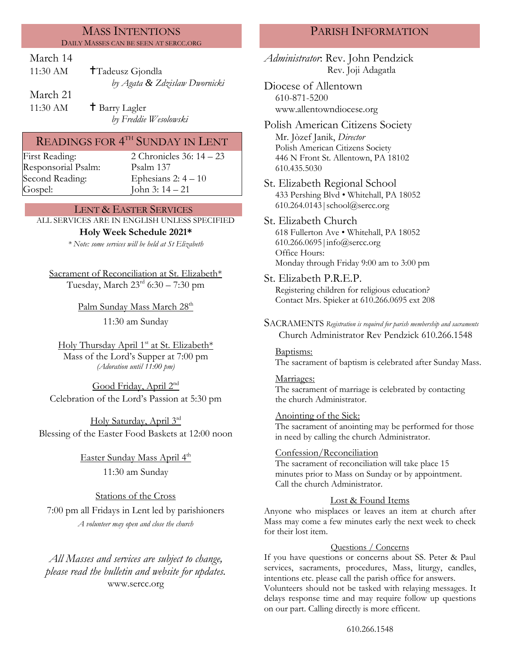### MASS INTENTIONS DAILY MASSES CAN BE SEEN AT SERCC.ORG

## March 14

| 11:30 AM | $\uparrow$ Tadeusz Gjondla    |
|----------|-------------------------------|
|          | by Agata & Zdzisław Dwornicki |

March 21

11:30 AM  $\qquad$  † Barry Lagler *by Freddie Wesolowski*

# READINGS FOR  $4^{\text{\tiny{TH}}}$  SUNDAY IN LENT

Responsorial Psalm: [Psalm](http://www.usccb.org/bible/readings/bible/psalms/25:4) 137 Gospel: John 3: 14 – 21

First Reading: 2 Chronicles 36: 14 – 23 Second Reading: Ephesians 2:  $4 - 10$ 

## LENT & EASTER SERVICES

ALL SERVICES ARE IN ENGLISH UNLESS SPECIFIED

### **Holy Week Schedule 2021\***

*\* Note: some services will be held at St Elizabeth*

Sacrament of Reconciliation at St. Elizabeth\* Tuesday, March  $23<sup>rd</sup>$  6:30 – 7:30 pm

Palm Sunday Mass March 28<sup>th</sup>

11:30 am Sunday

Holy Thursday April 1<sup>st</sup> at St. Elizabeth\* Mass of the Lord's Supper at 7:00 pm *(Adoration until 11:00 pm)*

Good Friday, April 2<sup>nd</sup> Celebration of the Lord's Passion at 5:30 pm

Holy Saturday, April 3rd Blessing of the Easter Food Baskets at 12:00 noon

> <u>Easter Sunday Mass April 4<sup>th</sup></u> 11:30 am Sunday

Stations of the Cross 7:00 pm all Fridays in Lent led by parishioners *A volunteer may open and close the church*

*All Masses and services are subject to change, please read the bulletin and website for updates.* www.sercc.org

## PARISH INFORMATION

*Administrator*: Rev. John Pendzick Rev. Joji Adagatla

Diocese of Allentown 610-871-5200 www.allentowndiocese.org

Polish American Citizens Society Mr. Jòzef Janik, *Director* Polish American Citizens Society 446 N Front St. Allentown, PA 18102 610.435.5030

St. Elizabeth Regional School 433 Pershing Blvd • Whitehall, PA 18052 610.264.0143|school@sercc.org

St. Elizabeth Church 618 Fullerton Ave • Whitehall, PA 18052 610.266.0695|info@sercc.org Office Hours: Monday through Friday 9:00 am to 3:00 pm

St. Elizabeth P.R.E.P.

Registering children for religious education? Contact Mrs. Spieker at 610.266.0695 ext 208

SACRAMENTS *Registration is required for parish membership and sacraments* Church Administrator Rev Pendzick 610.266.1548

Baptisms:

The sacrament of baptism is celebrated after Sunday Mass.

Marriages: The sacrament of marriage is celebrated by contacting the church Administrator.

Anointing of the Sick: The sacrament of anointing may be performed for those in need by calling the church Administrator.

### Confession/Reconciliation

The sacrament of reconciliation will take place 15 minutes prior to Mass on Sunday or by appointment. Call the church Administrator.

### Lost & Found Items

Anyone who misplaces or leaves an item at church after Mass may come a few minutes early the next week to check for their lost item.

#### Questions / Concerns

If you have questions or concerns about SS. Peter & Paul services, sacraments, procedures, Mass, liturgy, candles, intentions etc. please call the parish office for answers.

Volunteers should not be tasked with relaying messages. It delays response time and may require follow up questions on our part. Calling directly is more efficent.